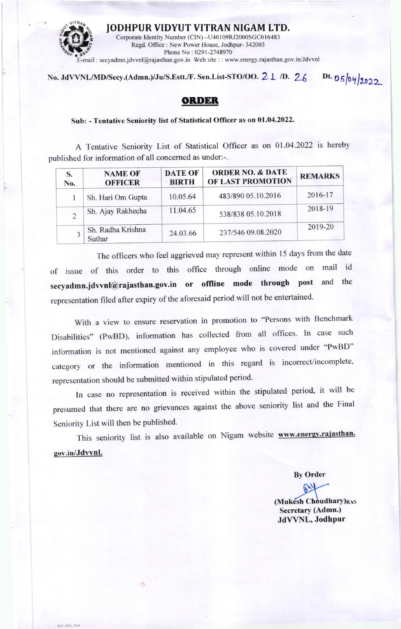

No. JdVVNL/MD/Secy.(Admn.)/Ju/S.Estt./F. Sen.List-STO/OO.  $2\perp$  /D.  $26$ 

Dt. 05/04/2022

## **ORDER**

## Sub: - Tentative Seniority list of Statistical Officer as on 01.04.2022.

A Tentative Seniority List of Statistical Officer as on 01.04.2022 is hereby published for information of all concerned as under:-.

| S.<br>No. | <b>NAME OF</b><br><b>OFFICER</b> | <b>DATE OF</b><br><b>BIRTH</b> | <b>ORDER NO. &amp; DATE</b><br>OF LAST PROMOTION | <b>REMARKS</b> |
|-----------|----------------------------------|--------------------------------|--------------------------------------------------|----------------|
|           | Sh. Hari Om Gupta                | 10.05.64                       | 483/890 05.10.2016                               | 2016-17        |
|           | Sh. Ajay Rakhecha                | 11.04.65                       | 538/838 05.10.2018                               | 2018-19        |
|           | Sh. Radha Krishna<br>Suthar      | 24.03.66                       | 237/546 09.08.2020                               | 2019-20        |

The officers who feel aggrieved may represent within 15 days from the date of issue of this order to this office through online mode on mail id secyadmn.jdvvnl@rajasthan.gov.in or offline mode through post and the representation filed after expiry of the aforesaid period will not be entertained.

With a view to ensure reservation in promotion to "Persons with Benchmark Disabilities" (PwBD), information has collected from all offices. In case such information is not mentioned against any employee who is covered under "PwBD" category or the information mentioned in this regard is incorrect/incomplete, representation should be submitted within stipulated period.

In case no representation is received within the stipulated period, it will be presumed that there are no grievances against the above seniority list and the Final Seniority List will then be published.

This seniority list is also available on Nigam website www.energy.rajasthan. gov.in/Jdvvnl.

**By Order** 

(Mukesh Choudhary)RAS Secretary (Admn.) JdVVNL, Jodhpur